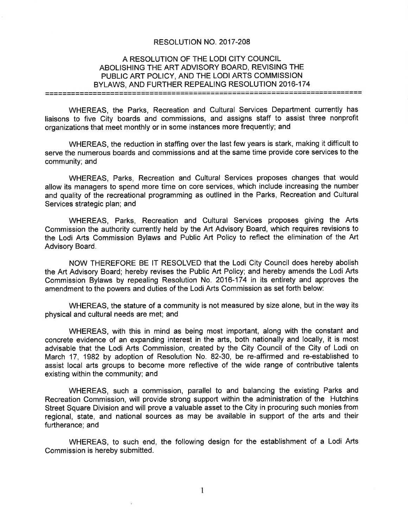#### RESOLUTION NO. 2017-208

# A RESOLUTION OF THE LODI CITY COUNCIL ABOLISHING THE ART ADVISORY BOARD, REVISING THE PUBLIC ART POLICY, AND THE LODI ARTS COMMISSION BYLAWS, AND FURTHER REPEALÍ NG RESOLUTION 2016-174

WHEREAS, the Parks, Recreation and Cultural Services Department currently has liaisons to five City boards and commissions, and assigns staff to assist three nonprofit organizations that meet monthly or in some instances more frequently; and

WHEREAS, the reduction in staffing over the last few years is stark, making it difficult to serve the numerous boards and commissions and at the same time provide core services to the community; and

WHEREAS, Parks, Recreation and Cultural Services proposes changes that would allow its managers to spend more time on core services, which include increasing the number and quality of the recreational programming as outlined in the Parks, Recreation and Cultural Services strategic plan; and

WHEREAS, Parks, Recreation and Cultural Services proposes giving the Arts Commission the authority currently held by the Art Advisory Board, which requires revisions to the Lodi Arts Commission Bylaws and Public Art Policy to reflect the elimination of the Art Advisory Board.

NOW THEREFORE BE lT RESOLVED that the Lodi City Council does hereby abolish the Art Advisory Board; hereby revises the Public Art Policy; and hereby amends the Lodi Arts Commission Bylaws by repealing Resolution No. 2016-174 in its entirety and approves the amendment to the powers and duties of the Lodi Arts Commission as set forth below:

WHEREAS, the stature of a community is not measured by size alone, but in the way its physical and cultural needs are met; and

WHEREAS, with this in mind as being most important, along with the constant and concrete evidence of an expanding interest in the arts, both nationally and locally, it is most advisable that the Lodi Arts Commission, created by the City Council of the City of Lodi on March 17, 1982 by adoption of Resolution No. 82-30, be re-affirmed and re-established to assist local arts groups to become more reflective of the wide range of contributive talents existing within the community; and

WHEREAS, such a commission, parallel to and balancing the existing Parks and Recreation Commission, will provide strong support within the administration of the Hutchins Street Square Division and will prove a valuable asset to the City in procuring such monies from regional, state, and national sources as may be available in support of the arts and their furtherance; and

WHEREAS, to such end, the following design for the establishment of a Lodi Arts Commission is hereby submitted.

1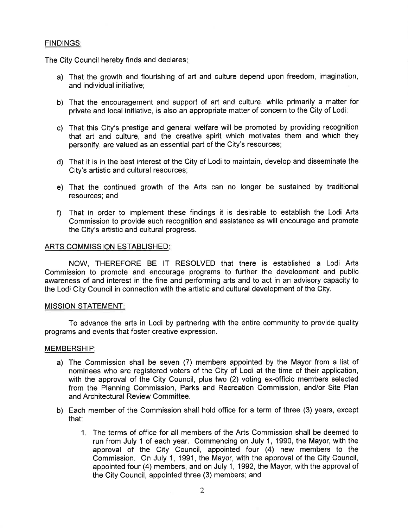# FINDINGS:

The City Council hereby finds and declares

- a) That the growth and flourishing of art and culture depend upon freedom, imagination, and individual initiative;
- b) That the encouragement and support of art and culture, while primarily a matter for private and local initiative, is also an appropriate matter of concern to the City of Lodi;
- c) That this City's prestige and general welfare will be promoted by providing recognition that art and culture, and the creative spirit which motivates them and which they personify, are valued as an essential part of the City's resources;
- d) That it is in the best interest of the City of Lodi to maintain, develop and disseminate the City's artistic and cultural resources;
- e) That the continued growth of the Arts can no longer be sustained by traditional resources; and
- f) That in order to implement these findings it is desirable to establish the Lodi Arts Commission to provide such recognition and assistance as will encourage and promote the City's artistic and cultural progress.

#### ARTS COMMISSION ESTABLISHED:

NOW, THEREFORE BE lT RESOLVED that there is established a Lodi Arts Commission to promote and encourage programs to further the development and public awareness of and interest in the fine and performing arts and to act in an advisory capacity to the Lodi City Council in connection with the artistic and cultural development of the City.

#### MISSION STATEMENT

To advance the arts in Lodi by partnering with the entire community to provide quality programs and events that foster creative expression.

# MEMBERSHIP:

- a) The Commission shall be seven (7) members appointed by the Mayor from a list of nominees who are registered voters of the City of Lodi at the time of their application, with the approval of the City Council, plus two (2) voting ex-officio members selected from the Planning Commission, Parks and Recreation Commission, and/or Site Plan and Architectural Review Committee.
- b) Each member of the Commission shall hold office for a term of three (3) years, except that:
	- 1. The terms of office for all members of the Arts Commission shall be deemed to run from July 1 of each year. Commencing on July 1, 1990, the Mayor, with the approval of the City Council, appointed four (4) new members to the Commission. On July 1, 1991, the Mayor, with the approval of the City Council, appointed four (4) members, and on July 1, 1992, the Mayor, with the approval of the City Council, appointed three (3) members; and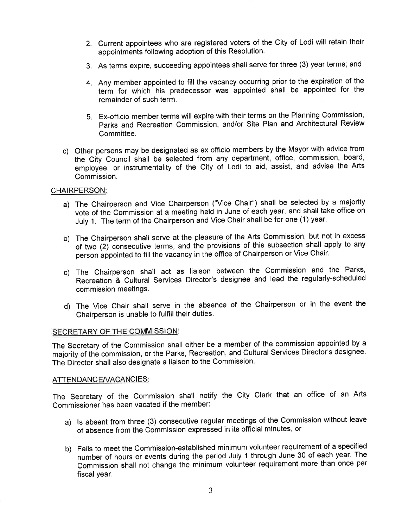- 2. Current appointees who are registered voters of the City of Lodi will retain their appointments following adoption of this Resolution.
- 3. As terms expire, succeeding appointees shall serve for three (3) year terms; and
- 4. Any member appointed to fill the vacancy occurring prior to the expiration of the term for which his predecessor was appointed shall be appointed for the remainder of such term,
- S. Ex-officio member terms will expire with their terms on the Planning Commission, Parks and Recreation Commission, and/or Site Plan and Architectural Review Committee.
- c) Other persons may be designated as ex officio members by the Mayor with advice from the City Council shall be selected from any department, office, commission, board, employee, or instrumentality of the City of Lodi to aid, assist, and advise the Arts Commission.

# CHAIRPERSON:

- a) The Chairperson and Vice Chairperson ("Vice Chair") shall be selected by a majority vote of the Commission at a meeting held in June of each year, and shall take office on July 1. The term of the Chairperson and Vice Chair shall be for one (1) year.
- b) The Chairperson shall serve at the pleasure of the Arts Commission, but not in excess of two (2) consecutive terms, and the provisions of this subsection shall apply to any person appointed to fill the vacancy in the office of Chairperson or Vice Chair.
- c) The Chairperson shall act as liaison between the Commission and the Parks, Recreation & Cultural Services Director's designee and lead the regularly-scheduled commission meetings.
- d) The Vice Chair shall serve in the absence of the Chairperson or in the event the Chairperson is unable to fulfill their duties.

# SECRETARY OF THE COMMISSION:

The Secretary of the Commission shall either be a member of the commission appointed by <sup>a</sup> majority of thé commission, or the Parks, Recreation, and Cultural Services Director's designee. The Director shall also designate a liaison to the Commission.

# ATTENDANCE/VACANCIES:

The Secretary of the Commission shall notify the City Clerk that an office of an Arts Commissioner has been vacated if the member:

- a) ls absent from three (3) consecutive regular meetings of the Commission without leave of absence from the Commission expressed in its official minutes, or
- b) Fails to meet the Commission-established minimum volunteer requirement of a specified number of hours or events during the period July 1 through June 30 of each year. The Commission shall not change the minimum volunteer requirement more than once per fiscal year.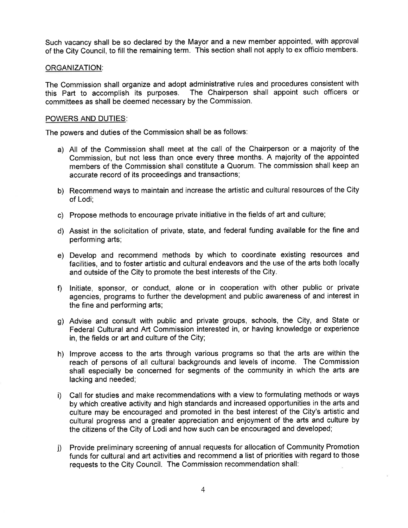Such vacancy shall be so declared by the Mayor and a new member appointed, with approval of the City Council, to fill the remaining term. This section shall not apply to ex officio members.

#### ORGANIZATION:

The Commission shall organize and adopt administrative rules and procedures consistent with this Part to accomplish its purposes. The Chairperson shall appoint such officers or committees as shall be deemed necessary by the Commission.

### POWERS AND DUTIES:

The powers and duties of the Commission shall be as follows:

- a) All of the Commission shall meet at the call of the Chairperson or a majority of the Commission, but not less than once every three months. A majority of the appointed members of the Commission shall constitute a Quorum. The commission shall keep an accurate record of its proceedings and transactions;
- b) Recommend ways to maintain and increase the artistic and cultural resources of the City of Lodi;
- c) Propose methods to encourage private initiative in the fields of art and culture;
- d) Assist in the solicitation of private, state, and federal funding available for the fine and performing arts;
- e) Develop and recommend methods by which to coordinate existing resources and facilities, and to foster artistic and cultural endeavors and the use of the arts both locally and outside of the City to promote the best interests of the City.
- f) Initiate, sponsor, or conduct, alone or in cooperation with other public or private agencies, programs to further the development and public awareness of and interest in the fine and performing arts;
- g) Advise and consult with public and private groups, schools, the City, and State or Federal Cultural and Art Commission interested in, or having knowledge or experience in, the fields or art and culture of the City;
- h) lmprove access to the arts through various programs so that the arts are within the reach of persons of all cultural backgrounds and levels of income. The Commission shall especially be concerned for segments of the community in which the arts are lacking and needed;
- i) Call for studies and make recommendations with a view to formulating methods or ways by which creative activity and high standards and increased opportunities in the arts and culture may be encouraged and promoted in the best interest of the City's artistic and cultural progress and a greater appreciation and enjoyment of the arts and culture by the citizens of the City of Lodi and how such can be encouraged and developed;
- j) Provide preliminary screening of annual requests for allocation of Community Promotion funds for cultural and art activities and recommend a list of priorities with regard to those requests to the City Council. The Commission recommendation shall: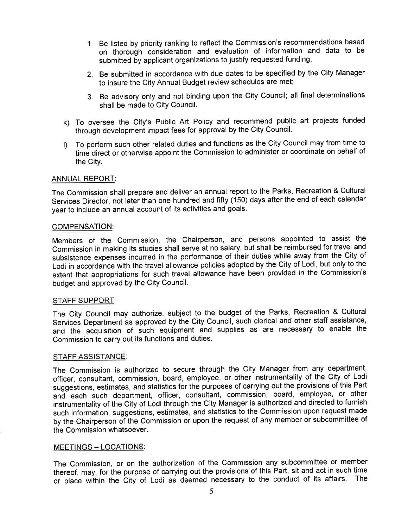- 1. Be listed by priority ranking to reflect the Commission's recommendations based on thorough consideration and evaluation of information and data to be submitted by applicant organizations to justify requested funding;
- 2. Be submitted in accordance with due dates to be specified by the City Manager to insure the City Annual Budget review schedules are met;
- 3. Be advisory only and not binding upon the City Council; all final determinations shall be made to City Council.
- To oversee the City's Public Art Policy and recommend public art projects funded k)through development impact fees for approval by the City Council.
- $\mathbf{D}$ To perform such other related duties and functions as the City Council may from time to time direct or otherwise appoint the Commission to administer or coordinate on behalf of the City.

# ANNUAL REPORT:

The Commission shall prepare and deliver an annual report to the Parks, Recreation & Cultural Services Director, not later than one hundred and fifty (150) days after the end of each calendar year to include an annual account of its activities and goals.

# COMPENSATION:

Members of the Commission, the Chairperson, and persons appointed to assist the Commission in making its studies shall serve at no salary, but shall be reimbursed for travel and subsistence expenseð incurred in the performance of their duties while away from the City of Lodi in accordance with the travel allowance policies adopted by the City of Lodi, but only to the extent that appropriations for such travel allowance have been provided in the Commission's budget and approved by the City Council.

# STAFF SUPPORT:

The City Council may authorize, subject to the budget of the Parks, Recreation & Cultural Services Department as approved by the City Council, such clerical and other staff assistance, and the acquisition of such equipment and supplies as are necessary to enable the Commission to carry out its functions and duties.

#### STAFF ASSISTANCE:

The Commission is authorized to secure through the City Manager from any department, officer, consultant, commission, board, employee, or other instrumentality of the City of Lodi suggestions, estimates, and statistics for the purposes of carrying out the provisions of this Part anã- each such department, officer, consultant, commission, board, employee, or other instrumentality of the City of Lodi through the City Manager is authorized and directed to furnish such information, suggestions, estimates, and statistics to the Commission upon request made by the Chairperson of the Commission or upon the request of any member or subcommittee of the Commission whatsoever.

# MEETINGS - LOCATIONS:

The Commission, or on the authorization of the Commission any subcommittee or member thereof, may, for the purpose of carrying out the provisions of this Part, sit and act in such time or place within the City of Lodi as deemed necessary to the conduct of its affairs. The